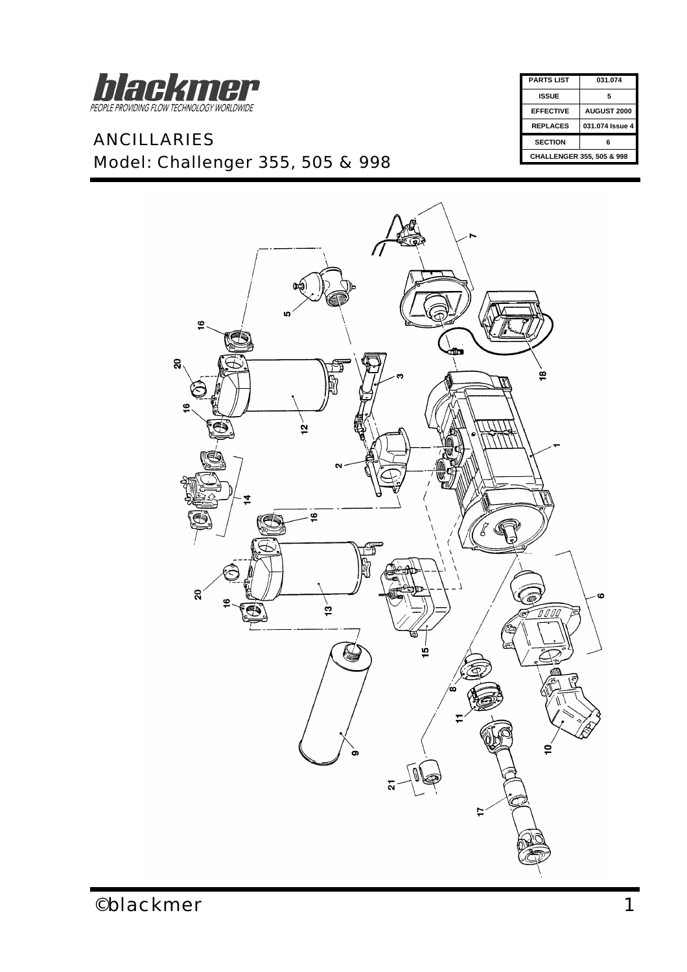

## *ANCILLARIES Model: Challenger 355, 505 & 998*

| <b>PARTS LIST</b>                    | 031.074            |  |
|--------------------------------------|--------------------|--|
| ISSUE                                | 5                  |  |
| <b>EFFECTIVE</b>                     | <b>AUGUST 2000</b> |  |
| <b>REPLACES</b>                      | 031.074 Issue 4    |  |
| <b>SECTION</b>                       | 6                  |  |
| <b>CHALLENGER 355, 505 &amp; 998</b> |                    |  |
|                                      |                    |  |